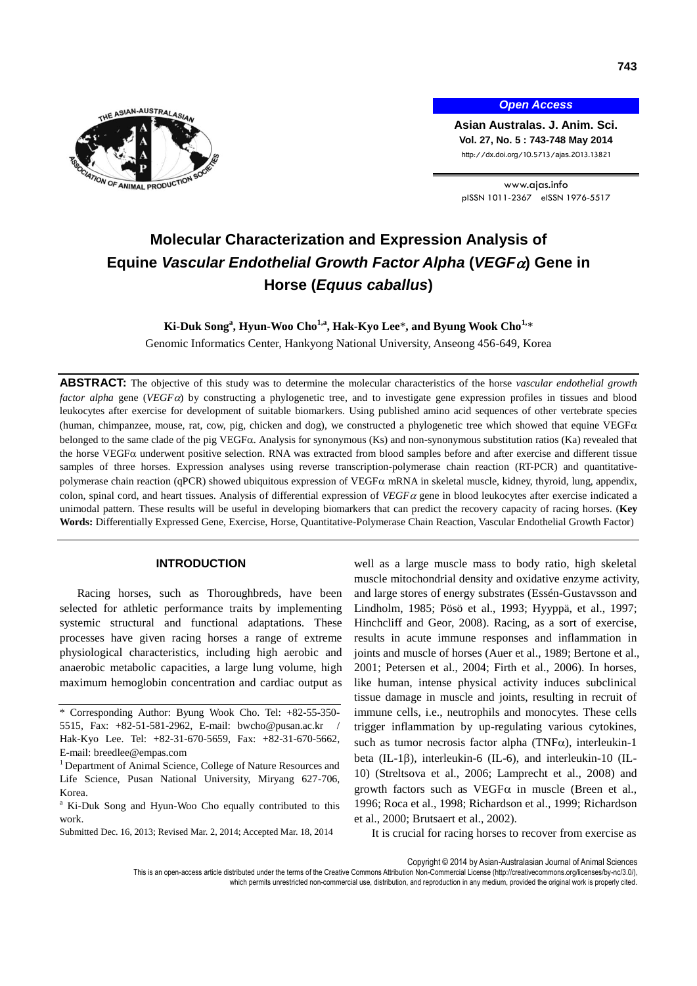

*Open Access*

**Asian Australas. J. Anim. Sci. Vol. 27, No. 5 : 743-748 May 2014** http://dx.doi.org/10.5713/ajas.2013.13821

www.ajas.info pISSN 1011-2367 eISSN 1976-5517

# **Molecular Characterization and Expression Analysis of Equine** *Vascular Endothelial Growth Factor Alpha* **(***VEGF***) Gene in Horse (***Equus caballus***)**

# **Ki-Duk Song<sup>a</sup> , Hyun-Woo Cho1,a , Hak-Kyo Lee**\***, and Byung Wook Cho1,**\*

Genomic Informatics Center, Hankyong National University, Anseong 456-649, Korea

**ABSTRACT:** The objective of this study was to determine the molecular characteristics of the horse *vascular endothelial growth factor alpha* gene (*VEGFa*) by constructing a phylogenetic tree, and to investigate gene expression profiles in tissues and blood leukocytes after exercise for development of suitable biomarkers. Using published amino acid sequences of other vertebrate species (human, chimpanzee, mouse, rat, cow, pig, chicken and dog), we constructed a phylogenetic tree which showed that equine VEGF $\alpha$ belonged to the same clade of the pig VEGFa. Analysis for synonymous (Ks) and non-synonymous substitution ratios (Ka) revealed that the horse VEGF $\alpha$  underwent positive selection. RNA was extracted from blood samples before and after exercise and different tissue samples of three horses. Expression analyses using reverse transcription-polymerase chain reaction (RT-PCR) and quantitativepolymerase chain reaction (qPCR) showed ubiquitous expression of VEGF $\alpha$  mRNA in skeletal muscle, kidney, thyroid, lung, appendix, colon, spinal cord, and heart tissues. Analysis of differential expression of *VEGF* gene in blood leukocytes after exercise indicated a unimodal pattern. These results will be useful in developing biomarkers that can predict the recovery capacity of racing horses. (**Key Words:** Differentially Expressed Gene, Exercise, Horse, Quantitative-Polymerase Chain Reaction, Vascular Endothelial Growth Factor)

# **INTRODUCTION**

Racing horses, such as Thoroughbreds, have been selected for athletic performance traits by implementing systemic structural and functional adaptations. These processes have given racing horses a range of extreme physiological characteristics, including high aerobic and anaerobic metabolic capacities, a large lung volume, high maximum hemoglobin concentration and cardiac output as well as a large muscle mass to body ratio, high skeletal muscle mitochondrial density and oxidative enzyme activity, and large stores of energy substrates (Essén-Gustavsson and Lindholm, 1985; Pösö et al., 1993; Hyyppä, et al., 1997; Hinchcliff and Geor, 2008). Racing, as a sort of exercise, results in acute immune responses and inflammation in joints and muscle of horses (Auer et al., 1989; Bertone et al., 2001; Petersen et al., 2004; Firth et al., 2006). In horses, like human, intense physical activity induces subclinical tissue damage in muscle and joints, resulting in recruit of immune cells, i.e., neutrophils and monocytes. These cells trigger inflammation by up-regulating various cytokines, such as tumor necrosis factor alpha (TNF $\alpha$ ), interleukin-1 beta (IL-1 $\beta$ ), interleukin-6 (IL-6), and interleukin-10 (IL-10) (Streltsova et al., 2006; Lamprecht et al., 2008) and growth factors such as  $VEGF\alpha$  in muscle (Breen et al., 1996; Roca et al., 1998; Richardson et al., 1999; Richardson et al., 2000; Brutsaert et al., 2002).

It is crucial for racing horses to recover from exercise as

Copyright © 2014 by Asian-Australasian Journal of Animal Sciences

<sup>\*</sup> Corresponding Author: Byung Wook Cho. Tel: +82-55-350- 5515, Fax: +82-51-581-2962, E-mail: bwcho@pusan.ac.kr / Hak-Kyo Lee. Tel: +82-31-670-5659, Fax: +82-31-670-5662, E-mail: breedlee@empas.com

<sup>&</sup>lt;sup>1</sup> Department of Animal Science, College of Nature Resources and Life Science, Pusan National University, Miryang 627-706, Korea.

<sup>&</sup>lt;sup>a</sup> Ki-Duk Song and Hyun-Woo Cho equally contributed to this work.

Submitted Dec. 16, 2013; Revised Mar. 2, 2014; Accepted Mar. 18, 2014

This is an open-access article distributed under the terms of the Creative Commons Attribution Non-Commercial License [\(http://creativecommons.org/licenses/by-nc/3.0/\),](http://creativecommons.org/licenses/by-nc/3.0/) which permits unrestricted non-commercial use, distribution, and reproduction in any medium, provided the original work is properly cited.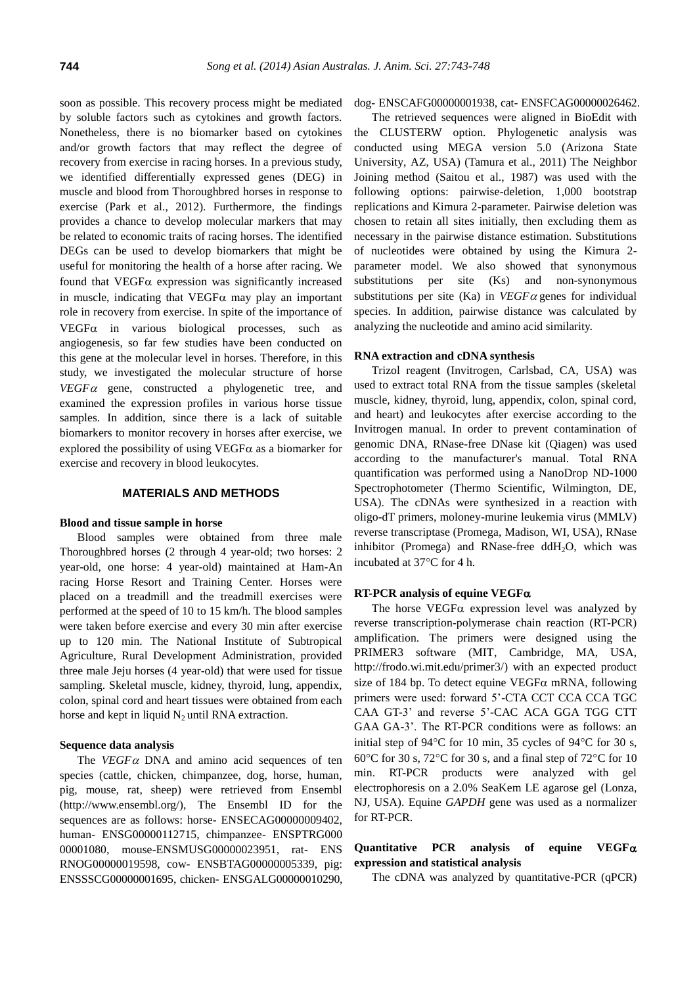soon as possible. This recovery process might be mediated by soluble factors such as cytokines and growth factors. Nonetheless, there is no biomarker based on cytokines and/or growth factors that may reflect the degree of recovery from exercise in racing horses. In a previous study, we identified differentially expressed genes (DEG) in muscle and blood from Thoroughbred horses in response to exercise (Park et al., 2012). Furthermore, the findings provides a chance to develop molecular markers that may be related to economic traits of racing horses. The identified DEGs can be used to develop biomarkers that might be useful for monitoring the health of a horse after racing. We found that VEGF $\alpha$  expression was significantly increased in muscle, indicating that  $VEGF\alpha$  may play an important role in recovery from exercise. In spite of the importance of  $VEGF\alpha$  in various biological processes, such as angiogenesis, so far few studies have been conducted on this gene at the molecular level in horses. Therefore, in this study, we investigated the molecular structure of horse  $VEGF\alpha$  gene, constructed a phylogenetic tree, and examined the expression profiles in various horse tissue samples. In addition, since there is a lack of suitable biomarkers to monitor recovery in horses after exercise, we explored the possibility of using VEGF $\alpha$  as a biomarker for exercise and recovery in blood leukocytes.

### **MATERIALS AND METHODS**

### **Blood and tissue sample in horse**

Blood samples were obtained from three male Thoroughbred horses (2 through 4 year-old; two horses: 2 year-old, one horse: 4 year-old) maintained at Ham-An racing Horse Resort and Training Center. Horses were placed on a treadmill and the treadmill exercises were performed at the speed of 10 to 15 km/h. The blood samples were taken before exercise and every 30 min after exercise up to 120 min. The National Institute of Subtropical Agriculture, Rural Development Administration, provided three male Jeju horses (4 year-old) that were used for tissue sampling. Skeletal muscle, kidney, thyroid, lung, appendix, colon, spinal cord and heart tissues were obtained from each horse and kept in liquid  $N_2$  until RNA extraction.

#### **Sequence data analysis**

The  $VEGF\alpha$  DNA and amino acid sequences of ten species (cattle, chicken, chimpanzee, dog, horse, human, pig, mouse, rat, sheep) were retrieved from Ensembl [\(http://www.ensembl.org/\)](http://www.ensembl.org/), The Ensembl ID for the sequences are as follows: horse- ENSECAG00000009402, human- ENSG00000112715, chimpanzee- ENSPTRG000 00001080, mouse-ENSMUSG00000023951, rat- ENS RNOG00000019598, cow- ENSBTAG00000005339, pig: ENSSSCG00000001695, chicken- ENSGALG00000010290,

## dog- ENSCAFG00000001938, cat- ENSFCAG00000026462.

The retrieved sequences were aligned in BioEdit with the CLUSTERW option. Phylogenetic analysis was conducted using MEGA version 5.0 (Arizona State University, AZ, USA) (Tamura et al., 2011) The Neighbor Joining method (Saitou et al., 1987) was used with the following options: pairwise-deletion, 1,000 bootstrap replications and Kimura 2-parameter. Pairwise deletion was chosen to retain all sites initially, then excluding them as necessary in the pairwise distance estimation. Substitutions of nucleotides were obtained by using the Kimura 2 parameter model. We also showed that synonymous substitutions per site (Ks) and non-synonymous substitutions per site (Ka) in  $VEGF\alpha$  genes for individual species. In addition, pairwise distance was calculated by analyzing the nucleotide and amino acid similarity.

#### **RNA extraction and cDNA synthesis**

Trizol reagent (Invitrogen, Carlsbad, CA, USA) was used to extract total RNA from the tissue samples (skeletal muscle, kidney, thyroid, lung, appendix, colon, spinal cord, and heart) and leukocytes after exercise according to the Invitrogen manual. In order to prevent contamination of genomic DNA, RNase-free DNase kit (Qiagen) was used according to the manufacturer's manual. Total RNA quantification was performed using a NanoDrop ND-1000 Spectrophotometer (Thermo Scientific, Wilmington, DE, USA). The cDNAs were synthesized in a reaction with oligo-dT primers, moloney-murine leukemia virus (MMLV) reverse transcriptase (Promega, Madison, WI, USA), RNase inhibitor (Promega) and RNase-free  $ddH<sub>2</sub>O$ , which was incubated at  $37^{\circ}$ C for 4 h.

#### **RT-PCR analysis of equine VEGF**

The horse VEGF $\alpha$  expression level was analyzed by reverse transcription-polymerase chain reaction (RT-PCR) amplification. The primers were designed using the PRIMER3 software (MIT, Cambridge, MA, USA, [http://frodo.wi.mit.edu/primer3/\)](http://frodo.wi.mit.edu/primer3/) with an expected product size of 184 bp. To detect equine VEGF $\alpha$  mRNA, following primers were used: forward 5'-CTA CCT CCA CCA TGC CAA GT-3' and reverse 5'-CAC ACA GGA TGG CTT GAA GA-3'. The RT-PCR conditions were as follows: an initial step of  $94^{\circ}$ C for 10 min, 35 cycles of  $94^{\circ}$ C for 30 s, 60°C for 30 s, 72°C for 30 s, and a final step of 72°C for 10 min. RT-PCR products were analyzed with gel electrophoresis on a 2.0% SeaKem LE agarose gel (Lonza, NJ, USA). Equine *GAPDH* gene was used as a normalizer for RT-PCR.

# **Quantitative PCR analysis of equine VEGF expression and statistical analysis**

The cDNA was analyzed by quantitative-PCR (qPCR)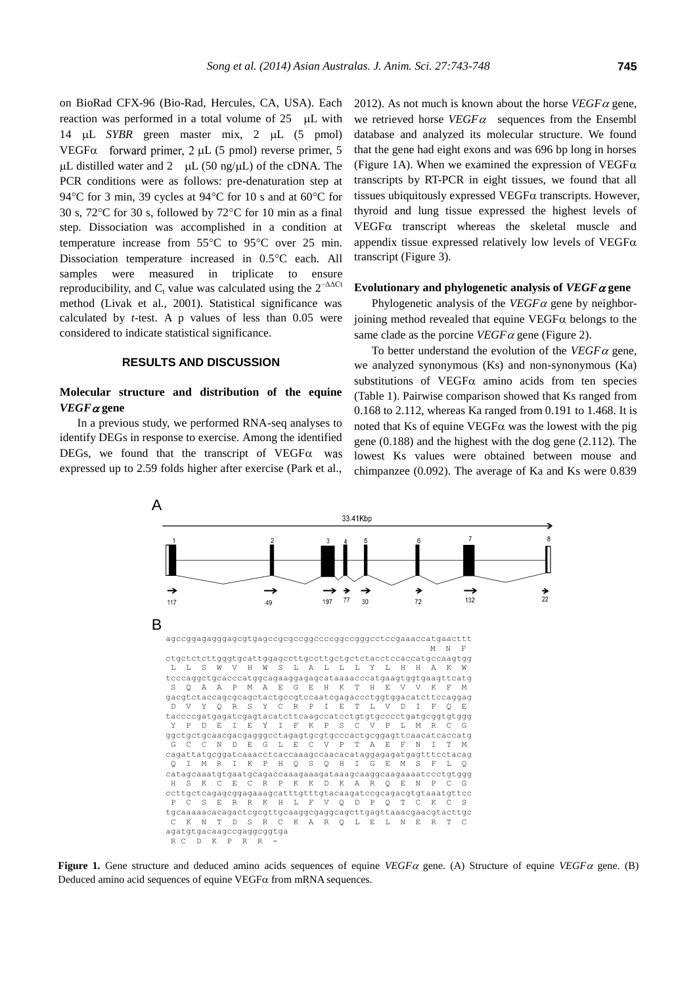on BioRad CFX-96 (Bio-Rad, Hercules, CA, USA). Each reaction was performed in a total volume of  $25$  µL with 14 µL *SYBR* green master mix, 2 µL (5 pmol) VEGF $\alpha$  forward primer, 2  $\mu$ L (5 pmol) reverse primer, 5  $\mu$ L distilled water and 2  $\mu$ L (50 ng/ $\mu$ L) of the cDNA. The PCR conditions were as follows: pre-denaturation step at 94 $\rm ^{\circ}C$  for 3 min, 39 cycles at 94 $\rm ^{\circ}C$  for 10 s and at 60 $\rm ^{\circ}C$  for 30 s, 72 $\degree$ C for 30 s, followed by 72 $\degree$ C for 10 min as a final step. Dissociation was accomplished in a condition at temperature increase from  $55^{\circ}$ C to  $95^{\circ}$ C over 25 min. Dissociation temperature increased in 0.5°C each. All samples were measured in triplicate to ensure reproducibility, and  $C_t$  value was calculated using the  $2^{-\Delta\Delta Ct}$ method (Livak et al., 2001). Statistical significance was calculated by *t*-test. A p values of less than 0.05 were considered to indicate statistical significance.

#### **RESULTS AND DISCUSSION**

# **Molecular structure and distribution of the equine**  *VEGF* **gene**

In a previous study, we performed RNA-seq analyses to identify DEGs in response to exercise. Among the identified DEGs, we found that the transcript of  $VEGF\alpha$  was expressed up to 2.59 folds higher after exercise (Park et al.,

2012). As not much is known about the horse  $VEGF\alpha$  gene, we retrieved horse  $VEGF\alpha$  sequences from the Ensembl database and analyzed its molecular structure. We found that the gene had eight exons and was 696 bp long in horses (Figure 1A). When we examined the expression of  $VEGF\alpha$ transcripts by RT-PCR in eight tissues, we found that all tissues ubiquitously expressed VEGF $\alpha$  transcripts. However, thyroid and lung tissue expressed the highest levels of  $VEGF\alpha$  transcript whereas the skeletal muscle and appendix tissue expressed relatively low levels of  $VEGF\alpha$ transcript (Figure 3).

# Evolutionary and phylogenetic analysis of  $VEGF \alpha$  gene

Phylogenetic analysis of the  $VEGF\alpha$  gene by neighborjoining method revealed that equine  $VEGF\alpha$  belongs to the same clade as the porcine  $VEGF\alpha$  gene (Figure 2).

To better understand the evolution of the  $VEGF\alpha$  gene, we analyzed synonymous (Ks) and non-synonymous (Ka) substitutions of VEGF $\alpha$  amino acids from ten species (Table 1). Pairwise comparison showed that Ks ranged from 0.168 to 2.112, whereas Ka ranged from 0.191 to 1.468. It is noted that Ks of equine VEGF $\alpha$  was the lowest with the pig gene (0.188) and the highest with the dog gene (2.112). The lowest Ks values were obtained between mouse and chimpanzee (0.092). The average of Ka and Ks were 0.839



**Figure 1.** Gene structure and deduced amino acids sequences of equine  $VEGF\alpha$  gene. (A) Structure of equine  $VEGF\alpha$  gene. (B) Deduced amino acid sequences of equine  $VEGF\alpha$  from mRNA sequences.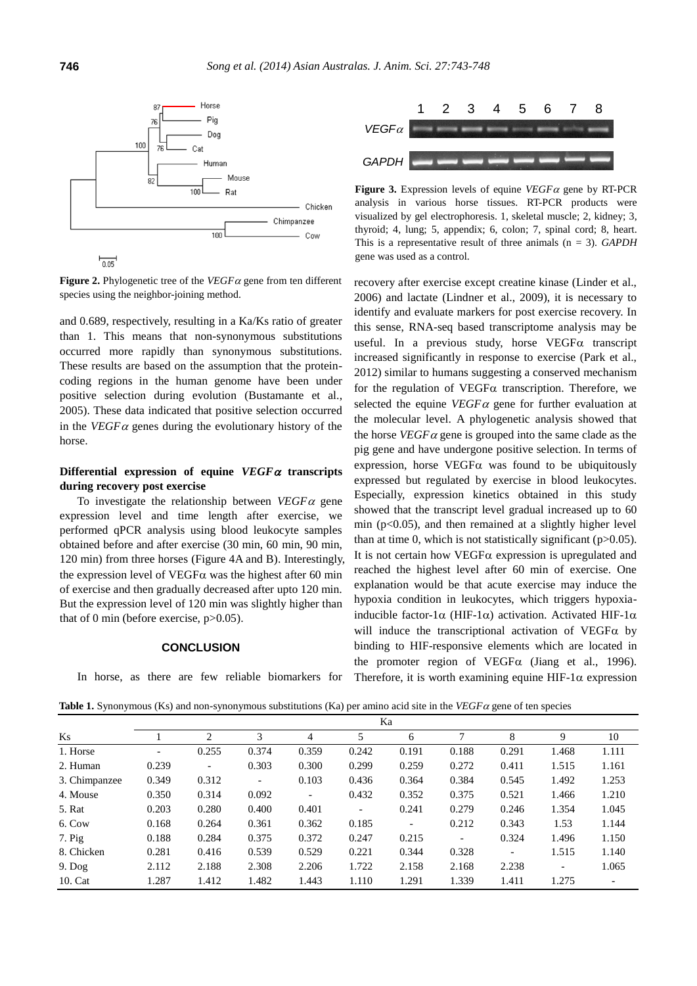

**Figure 2.** Phylogenetic tree of the  $VEGF\alpha$  gene from ten different species using the neighbor-joining method.

and 0.689, respectively, resulting in a Ka/Ks ratio of greater than 1. This means that non-synonymous substitutions occurred more rapidly than synonymous substitutions. These results are based on the assumption that the proteincoding regions in the human genome have been under positive selection during evolution (Bustamante et al., 2005). These data indicated that positive selection occurred in the *VEGF*  $\alpha$  genes during the evolutionary history of the horse.

# **Differential expression of equine**  $VEGF\alpha$  **transcripts during recovery post exercise**

To investigate the relationship between  $VEGF\alpha$  gene expression level and time length after exercise, we performed qPCR analysis using blood leukocyte samples obtained before and after exercise (30 min, 60 min, 90 min, 120 min) from three horses (Figure 4A and B). Interestingly, the expression level of VEGF $\alpha$  was the highest after 60 min of exercise and then gradually decreased after upto 120 min. But the expression level of 120 min was slightly higher than that of 0 min (before exercise, p>0.05).

### **CONCLUSION**

In horse, as there are few reliable biomarkers for



**Figure 3.** Expression levels of equine  $VEGF\alpha$  gene by RT-PCR analysis in various horse tissues. RT-PCR products were visualized by gel electrophoresis. 1, skeletal muscle; 2, kidney; 3, thyroid; 4, lung; 5, appendix; 6, colon; 7, spinal cord; 8, heart. This is a representative result of three animals (n = 3). *GAPDH* gene was used as a control.

recovery after exercise except creatine kinase (Linder et al., 2006) and lactate (Lindner et al., 2009), it is necessary to identify and evaluate markers for post exercise recovery. In this sense, RNA-seq based transcriptome analysis may be useful. In a previous study, horse  $VEGF\alpha$  transcript increased significantly in response to exercise (Park et al., 2012) similar to humans suggesting a conserved mechanism for the regulation of VEGF $\alpha$  transcription. Therefore, we selected the equine  $VEGF\alpha$  gene for further evaluation at the molecular level. A phylogenetic analysis showed that the horse  $VEGF\alpha$  gene is grouped into the same clade as the pig gene and have undergone positive selection. In terms of expression, horse VEGF $\alpha$  was found to be ubiquitously expressed but regulated by exercise in blood leukocytes. Especially, expression kinetics obtained in this study showed that the transcript level gradual increased up to 60 min ( $p<0.05$ ), and then remained at a slightly higher level than at time 0, which is not statistically significant  $(p>0.05)$ . It is not certain how VEGF $\alpha$  expression is upregulated and reached the highest level after 60 min of exercise. One explanation would be that acute exercise may induce the hypoxia condition in leukocytes, which triggers hypoxiainducible factor-1 $\alpha$  (HIF-1 $\alpha$ ) activation. Activated HIF-1 $\alpha$ will induce the transcriptional activation of VEGF $\alpha$  by binding to HIF-responsive elements which are located in the promoter region of VEGF $\alpha$  (Jiang et al., 1996). Therefore, it is worth examining equine HIF-1 $\alpha$  expression

**Table 1.** Synonymous (Ks) and non-synonymous substitutions (Ka) per amino acid site in the *VEGF*  $\alpha$  gene of ten species

|               | Ka                       |                          |                          |                          |                |                          |                          |                          |                          |                          |
|---------------|--------------------------|--------------------------|--------------------------|--------------------------|----------------|--------------------------|--------------------------|--------------------------|--------------------------|--------------------------|
| Ks            |                          | 2                        | 3                        | 4                        | 5              | 6                        | 7                        | 8                        | 9                        | 10                       |
| 1. Horse      | $\overline{\phantom{a}}$ | 0.255                    | 0.374                    | 0.359                    | 0.242          | 0.191                    | 0.188                    | 0.291                    | 1.468                    | 1.111                    |
| 2. Human      | 0.239                    | $\overline{\phantom{a}}$ | 0.303                    | 0.300                    | 0.299          | 0.259                    | 0.272                    | 0.411                    | 1.515                    | 1.161                    |
| 3. Chimpanzee | 0.349                    | 0.312                    | $\overline{\phantom{a}}$ | 0.103                    | 0.436          | 0.364                    | 0.384                    | 0.545                    | 1.492                    | 1.253                    |
| 4. Mouse      | 0.350                    | 0.314                    | 0.092                    | $\overline{\phantom{a}}$ | 0.432          | 0.352                    | 0.375                    | 0.521                    | 1.466                    | 1.210                    |
| 5. Rat        | 0.203                    | 0.280                    | 0.400                    | 0.401                    | $\blacksquare$ | 0.241                    | 0.279                    | 0.246                    | 1.354                    | 1.045                    |
| 6. Cow        | 0.168                    | 0.264                    | 0.361                    | 0.362                    | 0.185          | $\overline{\phantom{a}}$ | 0.212                    | 0.343                    | 1.53                     | 1.144                    |
| $7.$ Pig      | 0.188                    | 0.284                    | 0.375                    | 0.372                    | 0.247          | 0.215                    | $\overline{\phantom{a}}$ | 0.324                    | 1.496                    | 1.150                    |
| 8. Chicken    | 0.281                    | 0.416                    | 0.539                    | 0.529                    | 0.221          | 0.344                    | 0.328                    | $\overline{\phantom{a}}$ | 1.515                    | 1.140                    |
| $9.$ Dog      | 2.112                    | 2.188                    | 2.308                    | 2.206                    | 1.722          | 2.158                    | 2.168                    | 2.238                    | $\overline{\phantom{a}}$ | 1.065                    |
| 10. Cat       | 1.287                    | 1.412                    | 1.482                    | 1.443                    | 1.110          | 1.291                    | 1.339                    | 1.411                    | 1.275                    | $\overline{\phantom{a}}$ |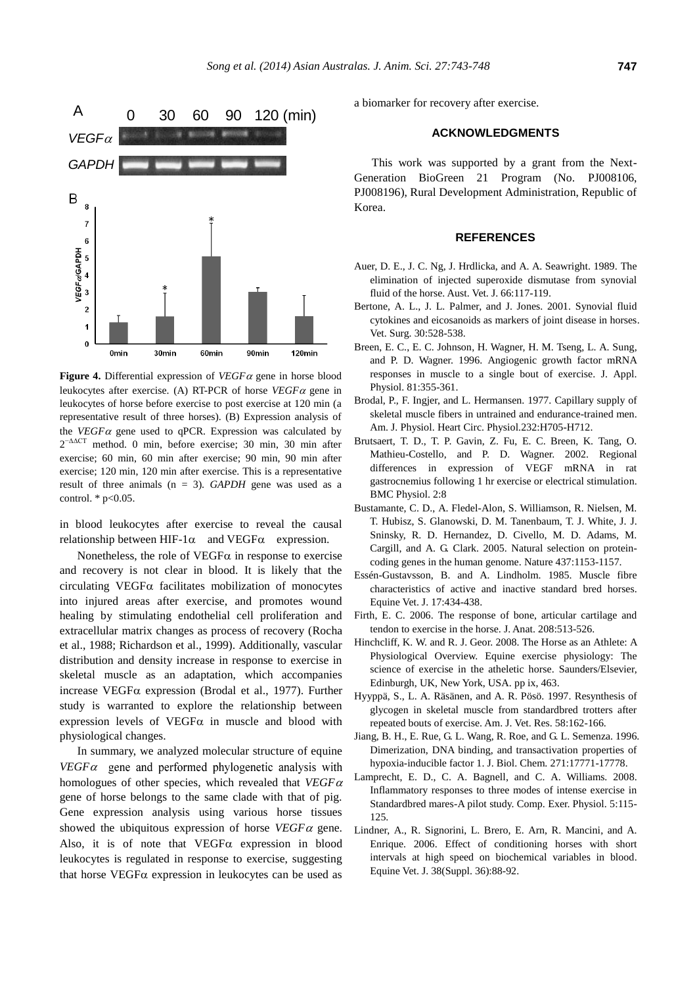

**Figure 4.** Differential expression of  $VEGF\alpha$  gene in horse blood leukocytes after exercise. (A) RT-PCR of horse  $VEGF\alpha$  gene in leukocytes of horse before exercise to post exercise at 120 min (a representative result of three horses). (B) Expression analysis of the *VEGF* $\alpha$  gene used to qPCR. Expression was calculated by  $2^{-\Delta\Delta CT}$  method. 0 min, before exercise; 30 min, 30 min after exercise; 60 min, 60 min after exercise; 90 min, 90 min after exercise; 120 min, 120 min after exercise. This is a representative result of three animals (n = 3). *GAPDH* gene was used as a control.  $*$  p<0.05.

in blood leukocytes after exercise to reveal the causal relationship between HIF-1 $\alpha$  and VEGF $\alpha$  expression.

Nonetheless, the role of  $VEGF\alpha$  in response to exercise and recovery is not clear in blood. It is likely that the circulating VEGF $\alpha$  facilitates mobilization of monocytes into injured areas after exercise, and promotes wound healing by stimulating endothelial cell proliferation and extracellular matrix changes as process of recovery (Rocha et al., 1988; Richardson et al., 1999). Additionally, vascular distribution and density increase in response to exercise in skeletal muscle as an adaptation, which accompanies increase VEGF $\alpha$  expression (Brodal et al., 1977). Further study is warranted to explore the relationship between expression levels of VEGF $\alpha$  in muscle and blood with physiological changes.

In summary, we analyzed molecular structure of equine  $VEGF\alpha$  gene and performed phylogenetic analysis with homologues of other species, which revealed that *VEGF* gene of horse belongs to the same clade with that of pig. Gene expression analysis using various horse tissues showed the ubiquitous expression of horse  $VEGF\alpha$  gene. Also, it is of note that  $VEGF\alpha$  expression in blood leukocytes is regulated in response to exercise, suggesting that horse VEGF $\alpha$  expression in leukocytes can be used as

a biomarker for recovery after exercise.

# **ACKNOWLEDGMENTS**

This work was supported by a grant from the Next-Generation BioGreen 21 Program (No. PJ008106, PJ008196), Rural Development Administration, Republic of Korea.

#### **REFERENCES**

- Auer, D. E., J. C. Ng, J. Hrdlicka, and A. A. Seawright. 1989. [The](http://onlinelibrary.wiley.com/doi/10.1111/j.1751-0813.1989.tb09763.x/abstract)  [elimination of injected superoxide dismutase from synovial](http://onlinelibrary.wiley.com/doi/10.1111/j.1751-0813.1989.tb09763.x/abstract)  [fluid of the horse.](http://onlinelibrary.wiley.com/doi/10.1111/j.1751-0813.1989.tb09763.x/abstract) Aust. Vet. J. 66:117-119.
- Bertone, A. L., J. L. Palmer, and J. Jones. 2001. [Synovial fluid](http://onlinelibrary.wiley.com/doi/10.1053/jvet.2001.28430/abstract?deniedAccessCustomisedMessage=&userIsAuthenticated=false)  [cytokines and eicosanoids as markers of joint disease in horses.](http://onlinelibrary.wiley.com/doi/10.1053/jvet.2001.28430/abstract?deniedAccessCustomisedMessage=&userIsAuthenticated=false)  Vet. Surg. 30:528-538.
- Breen, E. C., E. C. Johnson, H. Wagner, H. M. Tseng, L. A. Sung, and P. D. Wagner. 1996. [Angiogenic growth factor mRNA](http://jap.physiology.org/content/81/1/355.short)  [responses in muscle to a single bout of exercise.](http://jap.physiology.org/content/81/1/355.short) J. Appl. Physiol. 81:355-361.
- Brodal, P., F. Ingjer, and L. Hermansen. 1977. [Capillary supply of](http://ajpheart.physiology.org/content/232/6/H705)  [skeletal muscle fibers in untrained and endurance-trained men.](http://ajpheart.physiology.org/content/232/6/H705) Am. J. Physiol. Heart Circ. Physiol.232:H705-H712.
- Brutsaert, T. D., T. P. Gavin, Z. Fu, E. C. Breen, K. Tang, O. Mathieu-Costello, and P. D. Wagner. 2002. [Regional](http://www.biomedcentral.com/1472-6793/2/8/)  [differences in expression of VEGF mRNA in rat](http://www.biomedcentral.com/1472-6793/2/8/)  [gastrocnemius following 1 hr exercise or electrical stimulation.](http://www.biomedcentral.com/1472-6793/2/8/) BMC Physiol. 2:8
- Bustamante, C. D., A. Fledel-Alon, S. Williamson, R. Nielsen, M. T. Hubisz, S. Glanowski, D. M. Tanenbaum, T. J. White, J. J. Sninsky, R. D. Hernandez, D. Civello, M. D. Adams, M. Cargill, and A. G. Clark. 2005. [Natural selection on protein](http://www.nature.com/nature/journal/v437/n7062/abs/nature04240.html)[coding genes in the human genome.](http://www.nature.com/nature/journal/v437/n7062/abs/nature04240.html) Nature 437:1153-1157.
- Essén-Gustavsson, B. and A. Lindholm. 1985. [Muscle fibre](http://onlinelibrary.wiley.com/doi/10.1111/j.2042-3306.1985.tb02549.x/abstract?deniedAccessCustomisedMessage=&userIsAuthenticated=false)  [characteristics of active and inactive standard](http://onlinelibrary.wiley.com/doi/10.1111/j.2042-3306.1985.tb02549.x/abstract?deniedAccessCustomisedMessage=&userIsAuthenticated=false) bred horses. Equine Vet. J. 17:434-438.
- Firth, E. C. 2006. [The response of bone, articular cartilage and](http://onlinelibrary.wiley.com/doi/10.1111/j.1469-7580.2006.00547.x/full)  [tendon to exercise in the horse.](http://onlinelibrary.wiley.com/doi/10.1111/j.1469-7580.2006.00547.x/full) J. Anat. 208:513-526.
- Hinchcliff, K. W. and R. J. Geor. 2008. The Horse as an Athlete: A Physiological Overview. Equine exercise physiology: The science of exercise in the atheletic horse. Saunders/Elsevier, Edinburgh, UK, New York, USA. pp ix, 463.
- Hyyppä, S., L. A. Räsänen, and A. R. Pösö. 1997. Resynthesis of glycogen in skeletal muscle from standardbred trotters after repeated bouts of exercise. Am. J. Vet. Res. 58:162-166.
- Jiang, B. H., E. Rue, G. L. Wang, R. Roe, and G. L. Semenza. 1996. [Dimerization, DNA binding, and transactivation properties of](http://www.jbc.org/content/271/30/17771.short)  [hypoxia-inducible factor 1.](http://www.jbc.org/content/271/30/17771.short) J. Biol. Chem. 271:17771-17778.
- Lamprecht, E. D., C. A. Bagnell, and C. A. Williams. 2008. Inflammatory responses to three modes of intense exercise in Standardbred mares-A pilot study. Comp. Exer. Physiol. 5:115- 125.
- Lindner, A., R. Signorini, L. Brero, E. Arn, R. Mancini, and A. Enrique. 2006. [Effect of conditioning horses with short](http://onlinelibrary.wiley.com/doi/10.1111/j.2042-3306.2006.tb05519.x/abstract)  [intervals at high speed on biochemical variables in blood.](http://onlinelibrary.wiley.com/doi/10.1111/j.2042-3306.2006.tb05519.x/abstract) Equine Vet. J. 38(Suppl. 36):88-92.